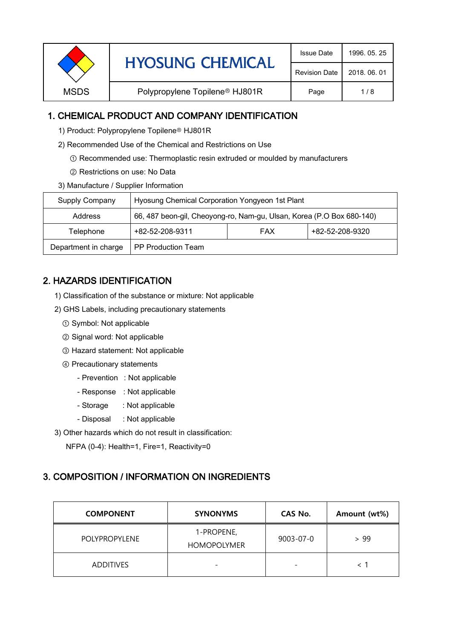| <b>HYOSUNG CHEMICAL</b> | <b>Issue Date</b>                          | 1996, 05, 25         |              |
|-------------------------|--------------------------------------------|----------------------|--------------|
|                         |                                            | <b>Revision Date</b> | 2018, 06, 01 |
| <b>MSDS</b>             | Polypropylene Topilene <sup>®</sup> HJ801R |                      | 1/8          |
|                         |                                            |                      |              |

# 1. CHEMICAL PRODUCT AND COMPANY IDENTIFICATION

- 1) Product: Polypropylene Topilene<sup>®</sup> HJ801R
- 2) Recommended Use of the Chemical and Restrictions on Use
	- ① Recommended use: Thermoplastic resin extruded or moulded by manufacturers
	- ② Restrictions on use: No Data
- 3) Manufacture / Supplier Information

| Supply Company                                    | Hyosung Chemical Corporation Yongyeon 1st Plant                       |  |                 |  |
|---------------------------------------------------|-----------------------------------------------------------------------|--|-----------------|--|
| Address                                           | 66, 487 beon-gil, Cheoyong-ro, Nam-gu, Ulsan, Korea (P.O Box 680-140) |  |                 |  |
| +82-52-208-9311<br><b>FAX</b><br>Telephone        |                                                                       |  | +82-52-208-9320 |  |
| Department in charge<br><b>PP Production Team</b> |                                                                       |  |                 |  |

# 2. HAZARDS IDENTIFICATION

- 1) Classification of the substance or mixture: Not applicable
- 2) GHS Labels, including precautionary statements
	- ① Symbol: Not applicable
	- ② Signal word: Not applicable
	- ③ Hazard statement: Not applicable
	- ④ Precautionary statements
		- Prevention : Not applicable
		- Response : Not applicable
		- Storage : Not applicable
		- Disposal : Not applicable
- 3) Other hazards which do not result in classification:

NFPA (0-4): Health=1, Fire=1, Reactivity=0

# 3. COMPOSITION / INFORMATION ON INGREDIENTS

| <b>COMPONENT</b>     | <b>SYNONYMS</b>                  | CAS No.   | Amount (wt%) |
|----------------------|----------------------------------|-----------|--------------|
| <b>POLYPROPYLENE</b> | 1-PROPENE,<br><b>HOMOPOLYMER</b> | 9003-07-0 | > 99         |
| <b>ADDITIVES</b>     | $\overline{\phantom{0}}$         |           |              |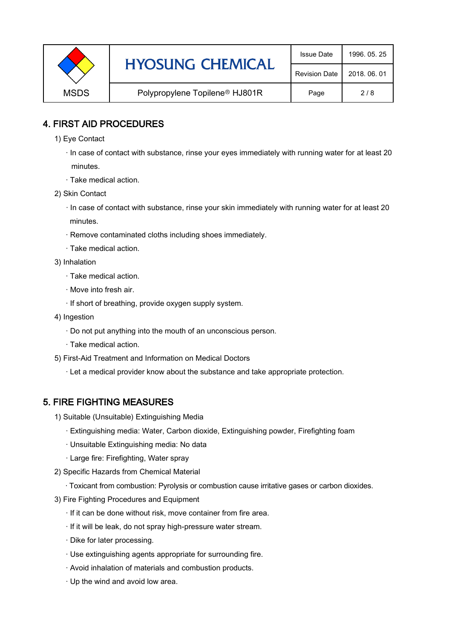| <b>HYOSUNG CHEMICAL</b> | <b>Issue Date</b>                          | 1996, 05, 25         |              |
|-------------------------|--------------------------------------------|----------------------|--------------|
|                         |                                            | <b>Revision Date</b> | 2018, 06, 01 |
| <b>MSDS</b>             | Polypropylene Topilene <sup>®</sup> HJ801R | Page                 | 2/8          |

#### 4. FIRST AID PROCEDURES

- 1) Eye Contact
	- · In case of contact with substance, rinse your eyes immediately with running water for at least 20 minutes.
	- · Take medical action.
- 2) Skin Contact
	- · In case of contact with substance, rinse your skin immediately with running water for at least 20 minutes.
	- · Remove contaminated cloths including shoes immediately.
	- · Take medical action.
- 3) Inhalation
	- · Take medical action.
	- · Move into fresh air.
	- · If short of breathing, provide oxygen supply system.
- 4) Ingestion
	- · Do not put anything into the mouth of an unconscious person.
	- · Take medical action.
- 5) First-Aid Treatment and Information on Medical Doctors
	- · Let a medical provider know about the substance and take appropriate protection.

# 5. FIRE FIGHTING MEASURES

- 1) Suitable (Unsuitable) Extinguishing Media
	- · Extinguishing media: Water, Carbon dioxide, Extinguishing powder, Firefighting foam
	- · Unsuitable Extinguishing media: No data
	- · Large fire: Firefighting, Water spray
- 2) Specific Hazards from Chemical Material
	- · Toxicant from combustion: Pyrolysis or combustion cause irritative gases or carbon dioxides.
- 3) Fire Fighting Procedures and Equipment
	- · If it can be done without risk, move container from fire area.
	- · If it will be leak, do not spray high-pressure water stream.
	- · Dike for later processing.
	- · Use extinguishing agents appropriate for surrounding fire.
	- · Avoid inhalation of materials and combustion products.
	- · Up the wind and avoid low area.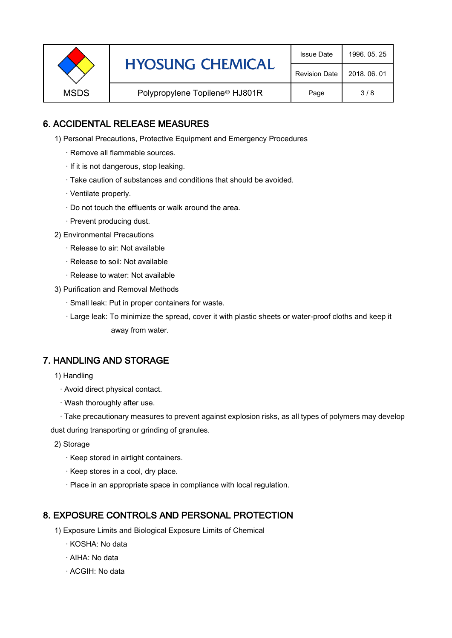|             | <b>HYOSUNG CHEMICAL</b>                    | <b>Issue Date</b>    | 1996, 05, 25 |
|-------------|--------------------------------------------|----------------------|--------------|
|             |                                            | <b>Revision Date</b> | 2018, 06, 01 |
| <b>MSDS</b> | Polypropylene Topilene <sup>®</sup> HJ801R |                      | 3/8          |

#### 6. ACCIDENTAL RELEASE MEASURES

- 1) Personal Precautions, Protective Equipment and Emergency Procedures
	- · Remove all flammable sources.
	- · If it is not dangerous, stop leaking.
	- · Take caution of substances and conditions that should be avoided.
	- · Ventilate properly.
	- · Do not touch the effluents or walk around the area.
	- · Prevent producing dust.
- 2) Environmental Precautions
	- · Release to air: Not available
	- · Release to soil: Not available
	- · Release to water: Not available
- 3) Purification and Removal Methods
	- · Small leak: Put in proper containers for waste.
	- ,· Large leak: To minimize the spread, cover it with plastic sheets or water-proof cloths and keep it away from water.

# 7. HANDLING AND STORAGE

- 1) Handling
	- · Avoid direct physical contact.
	- · Wash thoroughly after use.

· Take precautionary measures to prevent against explosion risks, as all types of polymers may develop dust during transporting or grinding of granules.

- 2) Storage
	- · Keep stored in airtight containers.
	- · Keep stores in a cool, dry place.
	- · Place in an appropriate space in compliance with local regulation.

# 8. EXPOSURE CONTROLS AND PERSONAL PROTECTION

- 1) Exposure Limits and Biological Exposure Limits of Chemical
	- · KOSHA: No data
	- · AIHA: No data
	- · ACGIH: No data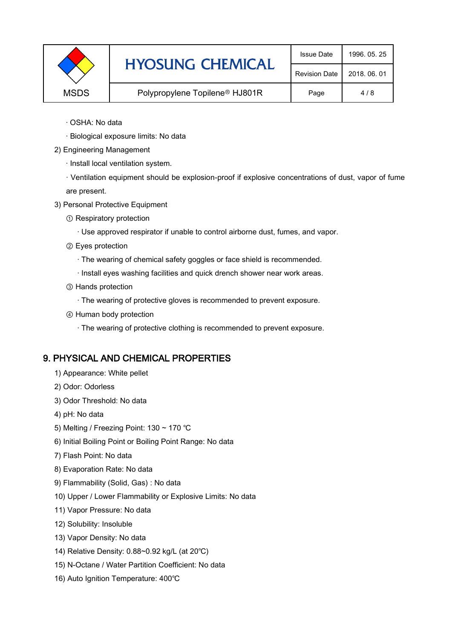|             | <b>HYOSUNG CHEMICAL</b>                    | <b>Issue Date</b>    | 1996, 05, 25 |
|-------------|--------------------------------------------|----------------------|--------------|
|             |                                            | <b>Revision Date</b> | 2018, 06, 01 |
| <b>MSDS</b> | Polypropylene Topilene <sup>®</sup> HJ801R | Page                 | 4/8          |

- · OSHA: No data
- · Biological exposure limits: No data
- 2) Engineering Management
	- · Install local ventilation system.

· Ventilation equipment should be explosion-proof if explosive concentrations of dust, vapor of fume are present.

- 3) Personal Protective Equipment
	- ① Respiratory protection
		- · Use approved respirator if unable to control airborne dust, fumes, and vapor.
	- ② Eyes protection
		- · The wearing of chemical safety goggles or face shield is recommended.
		- · Install eyes washing facilities and quick drench shower near work areas.
	- ③ Hands protection
		- · The wearing of protective gloves is recommended to prevent exposure.
	- ④ Human body protection
		- · The wearing of protective clothing is recommended to prevent exposure.

# 9. PHYSICAL AND CHEMICAL PROPERTIES

- 1) Appearance: White pellet
- 2) Odor: Odorless
- 3) Odor Threshold: No data
- 4) pH: No data
- 5) Melting / Freezing Point: 130 ~ 170 ℃
- 6) Initial Boiling Point or Boiling Point Range: No data
- 7) Flash Point: No data
- 8) Evaporation Rate: No data
- 9) Flammability (Solid, Gas) : No data
- 10) Upper / Lower Flammability or Explosive Limits: No data
- 11) Vapor Pressure: No data
- 12) Solubility: Insoluble
- 13) Vapor Density: No data
- 14) Relative Density: 0.88~0.92 kg/L (at 20℃)
- 15) N-Octane / Water Partition Coefficient: No data
- 16) Auto Ignition Temperature: 400℃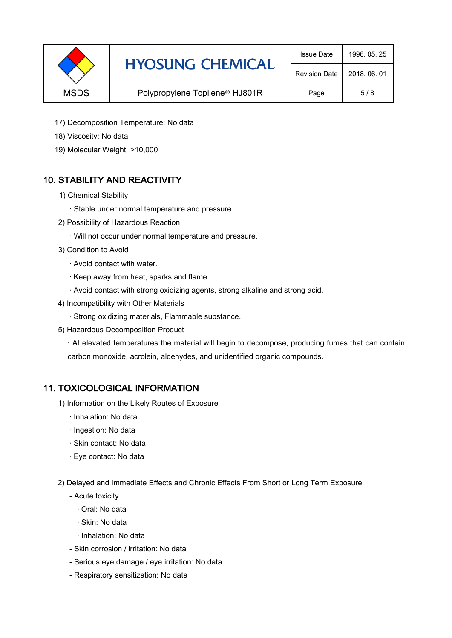|             | <b>HYOSUNG CHEMICAL</b>                    | <b>Issue Date</b>    | 1996, 05, 25 |
|-------------|--------------------------------------------|----------------------|--------------|
|             |                                            | <b>Revision Date</b> | 2018, 06, 01 |
| <b>MSDS</b> | Polypropylene Topilene <sup>®</sup> HJ801R | Page                 | 5/8          |

- 17) Decomposition Temperature: No data
- 18) Viscosity: No data
- 19) Molecular Weight: >10,000

# 10. STABILITY AND REACTIVITY

- 1) Chemical Stability
	- · Stable under normal temperature and pressure.
- 2) Possibility of Hazardous Reaction
	- · Will not occur under normal temperature and pressure.
- 3) Condition to Avoid
	- · Avoid contact with water.
	- · Keep away from heat, sparks and flame.
	- · Avoid contact with strong oxidizing agents, strong alkaline and strong acid.
- 4) Incompatibility with Other Materials
	- · Strong oxidizing materials, Flammable substance.
- 5) Hazardous Decomposition Product

· At elevated temperatures the material will begin to decompose, producing fumes that can contain carbon monoxide, acrolein, aldehydes, and unidentified organic compounds.

#### 11. TOXICOLOGICAL INFORMATION

- 1) Information on the Likely Routes of Exposure
	- · Inhalation: No data
	- · Ingestion: No data
	- · Skin contact: No data
	- · Eye contact: No data
- 2) Delayed and Immediate Effects and Chronic Effects From Short or Long Term Exposure
	- Acute toxicity
		- · Oral: No data
		- · Skin: No data
		- · Inhalation: No data
	- Skin corrosion / irritation: No data
	- Serious eye damage / eye irritation: No data
	- Respiratory sensitization: No data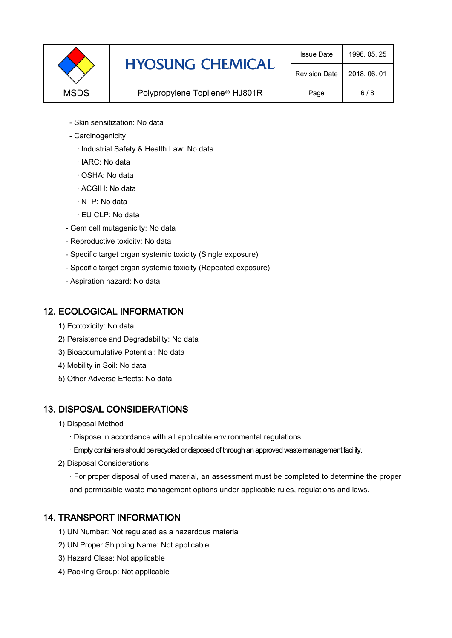|             | <b>HYOSUNG CHEMICAL</b>                    | <b>Issue Date</b>    | 1996, 05, 25 |
|-------------|--------------------------------------------|----------------------|--------------|
|             |                                            | <b>Revision Date</b> | 2018, 06, 01 |
| <b>MSDS</b> | Polypropylene Topilene <sup>®</sup> HJ801R |                      | 6/8          |

- Skin sensitization: No data
- Carcinogenicity
	- · Industrial Safety & Health Law: No data
	- · IARC: No data
	- · OSHA: No data
	- · ACGIH: No data
	- · NTP: No data
	- · EU CLP: No data
- Gem cell mutagenicity: No data
- Reproductive toxicity: No data
- Specific target organ systemic toxicity (Single exposure)
- Specific target organ systemic toxicity (Repeated exposure)
- Aspiration hazard: No data

#### 12. ECOLOGICAL INFORMATION

- 1) Ecotoxicity: No data
- 2) Persistence and Degradability: No data
- 3) Bioaccumulative Potential: No data
- 4) Mobility in Soil: No data
- 5) Other Adverse Effects: No data

# 13. DISPOSAL CONSIDERATIONS

- 1) Disposal Method
	- · Dispose in accordance with all applicable environmental regulations.
	- · Empty containers should be recycled or disposed of through an approved waste management facility.
- 2) Disposal Considerations
	- · For proper disposal of used material, an assessment must be completed to determine the proper and permissible waste management options under applicable rules, regulations and laws.

# 14. TRANSPORT INFORMATION

- 1) UN Number: Not regulated as a hazardous material
- 2) UN Proper Shipping Name: Not applicable
- 3) Hazard Class: Not applicable
- 4) Packing Group: Not applicable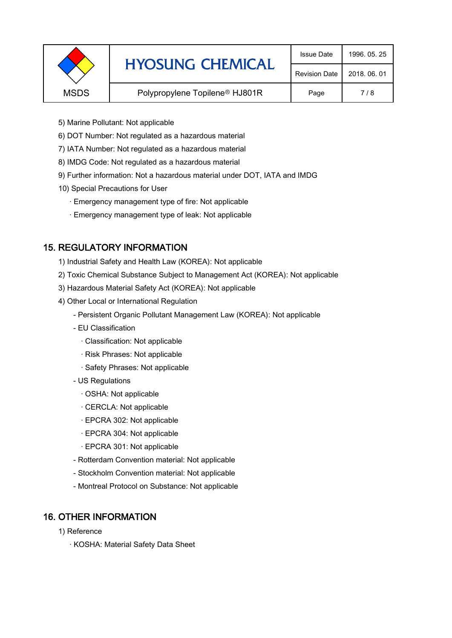| <b>HYOSUNG CHEMICAL</b> | <b>Issue Date</b>                          | 1996, 05, 25         |              |
|-------------------------|--------------------------------------------|----------------------|--------------|
|                         |                                            | <b>Revision Date</b> | 2018, 06, 01 |
| <b>MSDS</b>             | Polypropylene Topilene <sup>®</sup> HJ801R |                      | 7 / 8        |
|                         |                                            |                      |              |

- 5) Marine Pollutant: Not applicable
- 6) DOT Number: Not regulated as a hazardous material
- 7) IATA Number: Not regulated as a hazardous material
- 8) IMDG Code: Not regulated as a hazardous material
- 9) Further information: Not a hazardous material under DOT, IATA and IMDG
- 10) Special Precautions for User
	- · Emergency management type of fire: Not applicable
	- · Emergency management type of leak: Not applicable

#### 15. REGULATORY INFORMATION

- 1) Industrial Safety and Health Law (KOREA): Not applicable
- 2) Toxic Chemical Substance Subject to Management Act (KOREA): Not applicable
- 3) Hazardous Material Safety Act (KOREA): Not applicable
- 4) Other Local or International Regulation
	- Persistent Organic Pollutant Management Law (KOREA): Not applicable
	- EU Classification
		- · Classification: Not applicable
		- · Risk Phrases: Not applicable
		- · Safety Phrases: Not applicable
	- US Regulations
		- · OSHA: Not applicable
		- · CERCLA: Not applicable
		- · EPCRA 302: Not applicable
		- · EPCRA 304: Not applicable
		- · EPCRA 301: Not applicable
	- Rotterdam Convention material: Not applicable
	- Stockholm Convention material: Not applicable
	- Montreal Protocol on Substance: Not applicable

#### 16. OTHER INFORMATION

- 1) Reference
	- · KOSHA: Material Safety Data Sheet